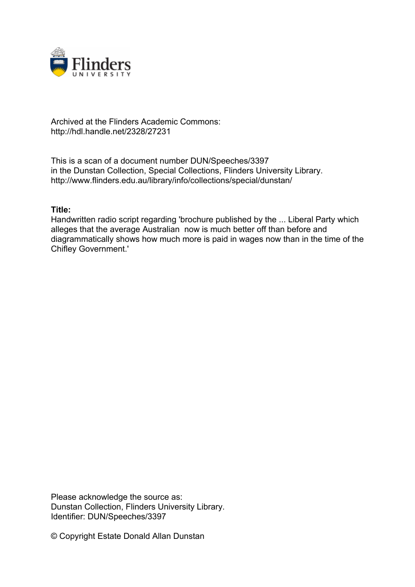

## Archived at the Flinders Academic Commons: http://hdl.handle.net/2328/27231

This is a scan of a document number DUN/Speeches/3397 in the Dunstan Collection, Special Collections, Flinders University Library. http://www.flinders.edu.au/library/info/collections/special/dunstan/

## **Title:**

Handwritten radio script regarding 'brochure published by the ... Liberal Party which alleges that the average Australian now is much better off than before and diagrammatically shows how much more is paid in wages now than in the time of the Chifley Government.'

Please acknowledge the source as: Dunstan Collection, Flinders University Library. Identifier: DUN/Speeches/3397

© Copyright Estate Donald Allan Dunstan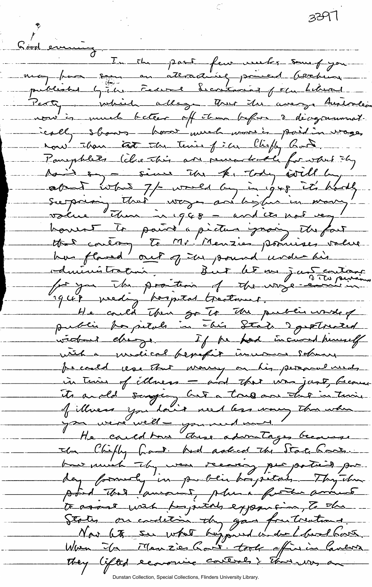3397 Good enriche In the past few weeks som of you Party which allege that the avery Australia nous à numéro bateur off than before à décreptisment. ically shows - have week worse's paid in voge, nous than tast the tenies of in Chiefly Book. Parephlets (che this are perendicale for what they saint intres 7/2 world by in grep it's hardly<br>surprising that ways are big in your it's hardly house to paint a picture proing the fact that controm to Mr. Menzies possibles volue He could their go to the public worse of widows change. If he had incurred humelf with a madical benefit in usur solved Je coold close that money on his personal needs in this of illness - and that was just, because its anold sangery but a true are this in this of illness you don't need less woney the when the Chifly Gast had acked the State Gars. but much the were recovery per patient por day formerly in parblic bospetals Thythe point that ansociat, plus for annual to assest with hypitals exposure a to the States on condetion du gans fruiteaux. Worm In Manzier Cont. took afinin Cancors They lifted economie controls } That was an

Dunstan Collection, Special Collections, Flinders University Libr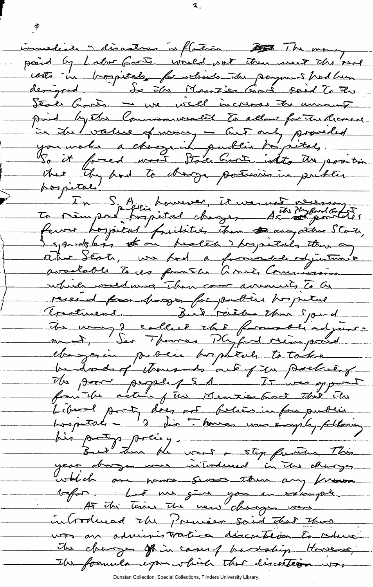incurrediale 5 disaglous inflation to the money point by Labor Garts. Would not then used the seal designed. In sin Menzier Carl said To Zu Séale Garts - we well increase the unionity in the value of money - but only provided point by the Commonweality to allow for the decreed In Spieler pourrer, it was not recessory to the measurer of the surface of the surface of the second of the second of the second of the second of the second of the second of the second of the second of the second of the se spridgless to on health springlails then any ocher Séate, une pour a favorisable odjustin which would more Than come amount to be received from changes for public hospital Creatment Bil raèbe that Jourd Un way 2 called the formalliadjure. el montan public bophtal to take bedond of thousands out of in poetal of Els poor peggle 15 1 It was opport Liberal porty does not believe in four public.<br>Les petals - d'aires toures une somply following. his patty policy. year donger me interdenced in the changes which are work some them any france beform. Let us give you an example. introduced the Premier said that there was an administration discretion to reline it charges of in cases of hardship. However, Its formula esponished that discotters

Dunstan Collection, Special Collections, Flinders University Library.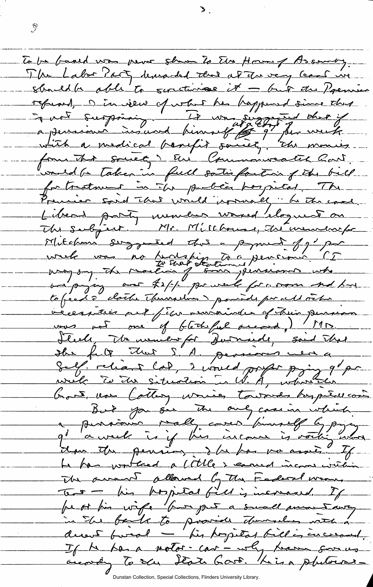To be based was never shown to the House of Assembly. The Labor Porty desearded that at The very least we should be able to surtivise it - but the Premier refused, Dinview of what he happened since that forme that soulet ? En Commonwealer Cont. voud a taken in full sotis faction of the bill Previer sond that would ironnally he the case. Libers party munder wared cloques on Mitchens suggested the a pyrol of g' por wrele was no fantship to a persionne CI outpaying our toxich powered for more and have to feed de clothe Theineline point prochange récention au file nuvainde et trois poursion Fleely Mr wenterfor Durnall, said That obs fit that S. A. persons were Salf. relient Col, 2 voued profit prins 9 pr God un Cottey waves towards by peter con  $\overline{a}$  $\mu$   $\mu$   $\mu$  $t$  and  $\frac{1}{\beta}$  and  $\frac{1}{\beta}$  and  $\frac{1}{\beta}$  and  $\frac{1}{\beta}$  $\frac{1}{2}$ La bas worked a little & camed income within The owner allowed by the Fooleral warm, Tour - his propilal fill is increased. If peut fin wife four pet a small montanty in The bank to provide durantes with a derent fund - his popietal billion encourant. If he has a notor car - why have soon as To sa State Gart. King phetoers\_

Dunstan Collection, Special Collections, Flinders University Library.

**i**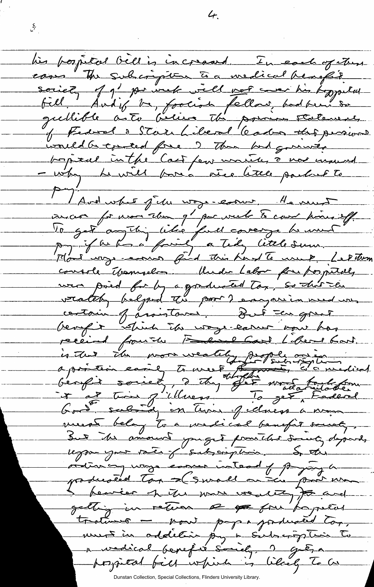his possible bill is incread . In each of them society of g - por week well not were his boppelus fell Audif be, foolion fellow, bod been so quellible auto believe the pointer statement, bonical in the Cast few units, a not mound - why he will pose a rice titele partier to Avel what jelu ways-essuer. He veres avent for mon than g' par vult to come kins eff.<br>To get anything like full coverge he must Mont voye envoy find this Kard To use P. Le Pitron console Usamselvo Unde Labor fre for petel was poid for by a goodwated tax, so that the veately belpod the poor? emparianmed un centain of araistance, Dut sen great is the non weality properties meest belog to a medical benefit soust, But the amount yought promitted downly depends.<br>Legame your vaier of subscription. So the ordinary ways easier intead of prying a point man producted Top = (Swall on the subscriber of the ware weaking to and getting in return a go four papiers trations - pour papar positions must in addition by a Subscription to a vedical benefit sociéty. 2 gréga possitat fill which is likely to be

 $4.$ 

Dunstan Collection, Special Collections, Flinders University Library.

 $\mathcal{E}_{\mathcal{T}_{\text{max}}}$